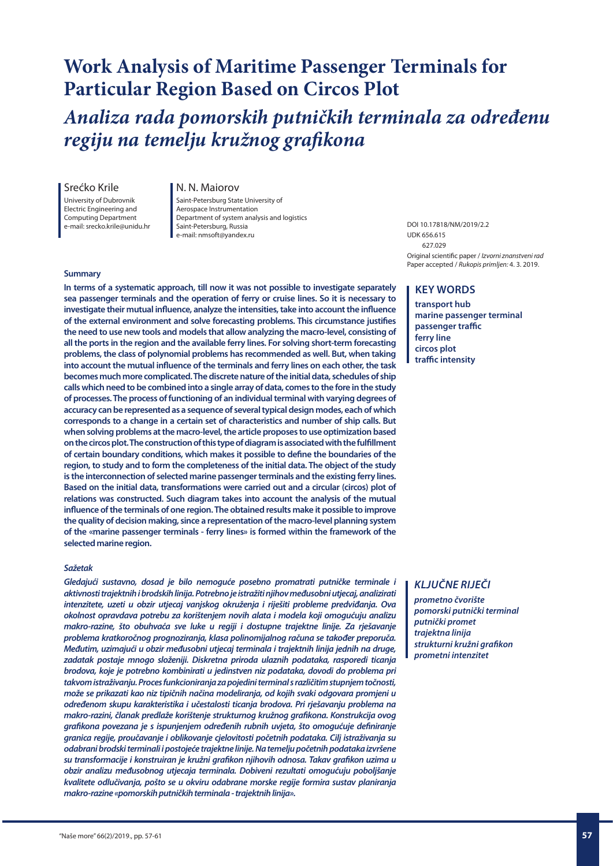# **Work Analysis of Maritime Passenger Terminals for Particular Region Based on Circos Plot**

*Analiza rada pomorskih putničkih terminala za određenu regiju na temelju kružnog grafikona*

#### Srećko Krile

University of Dubrovnik Electric Engineering and Computing Department

e-mail: srecko.krile@unidu.hr

#### N. N. Maiorov

Saint-Petersburg State University of Aerospace Instrumentation Department of system analysis and logistics Saint-Petersburg, Russia e-mail: nmsoft@yandex.ru

#### **Summary**

**In terms of a systematic approach, till now it was not possible to investigate separately sea passenger terminals and the operation of ferry or cruise lines. So it is necessary to investigate their mutual influence, analyze the intensities, take into account the influence of the external environment and solve forecasting problems. This circumstance justifies the need to use new tools and models that allow analyzing the macro-level, consisting of all the ports in the region and the available ferry lines. For solving short-term forecasting problems, the class of polynomial problems has recommended as well. But, when taking into account the mutual influence of the terminals and ferry lines on each other, the task becomes much more complicated. The discrete nature of the initial data, schedules of ship calls which need to be combined into a single array of data, comes to the fore in the study of processes. The process of functioning of an individual terminal with varying degrees of accuracy can be represented as a sequence of several typical design modes, each of which corresponds to a change in a certain set of characteristics and number of ship calls. But when solving problems at the macro-level, the article proposes to use optimization based on the circos plot. The construction of this type of diagram is associated with the fulfillment of certain boundary conditions, which makes it possible to define the boundaries of the region, to study and to form the completeness of the initial data. The object of the study is the interconnection of selected marine passenger terminals and the existing ferry lines. Based on the initial data, transformations were carried out and a circular (circos) plot of relations was constructed. Such diagram takes into account the analysis of the mutual influence of the terminals of one region. The obtained results make it possible to improve the quality of decision making, since a representation of the macro-level planning system of the «marine passenger terminals - ferry lines» is formed within the framework of the selected marine region.**

#### *Sažetak*

*Gledajući sustavno, dosad je bilo nemoguće posebno promatrati putničke terminale i aktivnosti trajektnih i brodskih linija. Potrebno je istražiti njihov međusobni utjecaj, analizirati intenzitete, uzeti u obzir utjecaj vanjskog okruženja i riješiti probleme predviđanja. Ova okolnost opravdava potrebu za korištenjem novih alata i modela koji omogućuju analizu makro-razine, što obuhvaća sve luke u regiji i dostupne trajektne linije. Za rješavanje problema kratkoročnog prognoziranja, klasa polinomijalnog računa se također preporuča. Međutim, uzimajući u obzir međusobni utjecaj terminala i trajektnih linija jednih na druge, zadatak postaje mnogo složeniji. Diskretna priroda ulaznih podataka, rasporedi ticanja brodova, koje je potrebno kombinirati u jedinstven niz podataka, dovodi do problema pri takvom istraživanju. Proces funkcioniranja za pojedini terminal s različitim stupnjem točnosti, može se prikazati kao niz tipičnih načina modeliranja, od kojih svaki odgovara promjeni u određenom skupu karakteristika i učestalosti ticanja brodova. Pri rješavanju problema na makro-razini, članak predlaže korištenje strukturnog kružnog grafikona. Konstrukcija ovog grafikona povezana je s ispunjenjem određenih rubnih uvjeta, što omogućuje definiranje granica regije, proučavanje i oblikovanje cjelovitosti početnih podataka. Cilj istraživanja su odabrani brodski terminali i postojeće trajektne linije. Na temelju početnih podataka izvršene su transformacije i konstruiran je kružni grafikon njihovih odnosa. Takav grafikon uzima u obzir analizu međusobnog utjecaja terminala. Dobiveni rezultati omogućuju poboljšanje kvalitete odlučivanja, pošto se u okviru odabrane morske regije formira sustav planiranja makro-razine «pomorskih putničkih terminala - trajektnih linija».*

DOI 10.17818/NM/2019/2.2 UDK 656.615 627.029 Original scientific paper / *Izvorni znanstveni rad* Paper accepted / *Rukopis primljen:* 4. 3. 2019.

## **KEY WORDS**

**transport hub marine passenger terminal passenger traffic ferry line circos plot traffic intensity**

### *KLJUČNE RIJEČI*

*prometno čvorište pomorski putnički terminal putnički promet trajektna linija strukturni kružni grafikon prometni intenzitet*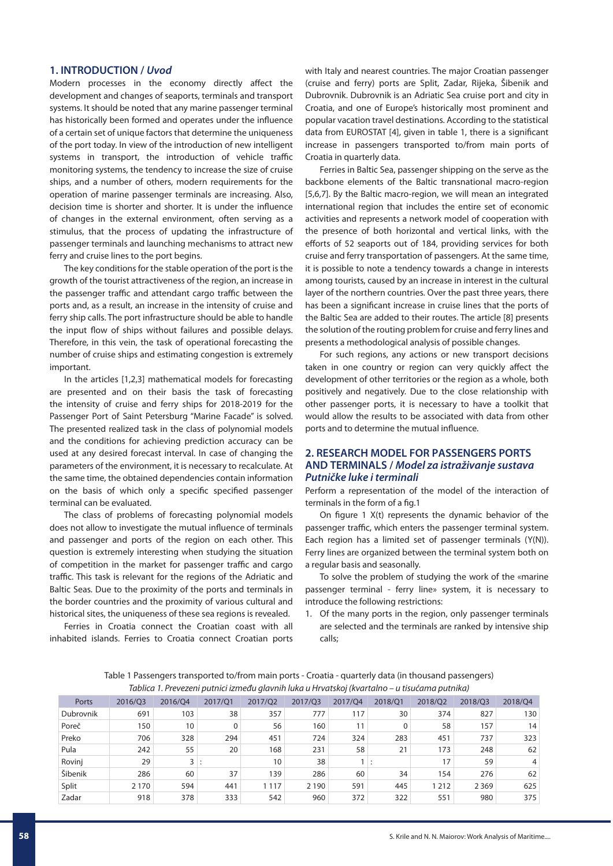#### **1. INTRODUCTION /** *Uvod*

Modern processes in the economy directly affect the development and changes of seaports, terminals and transport systems. It should be noted that any marine passenger terminal has historically been formed and operates under the influence of a certain set of unique factors that determine the uniqueness of the port today. In view of the introduction of new intelligent systems in transport, the introduction of vehicle traffic monitoring systems, the tendency to increase the size of cruise ships, and a number of others, modern requirements for the operation of marine passenger terminals are increasing. Also, decision time is shorter and shorter. It is under the influence of changes in the external environment, often serving as a stimulus, that the process of updating the infrastructure of passenger terminals and launching mechanisms to attract new ferry and cruise lines to the port begins.

The key conditions for the stable operation of the port is the growth of the tourist attractiveness of the region, an increase in the passenger traffic and attendant cargo traffic between the ports and, as a result, an increase in the intensity of cruise and ferry ship calls. The port infrastructure should be able to handle the input flow of ships without failures and possible delays. Therefore, in this vein, the task of operational forecasting the number of cruise ships and estimating congestion is extremely important.

In the articles [1,2,3] mathematical models for forecasting are presented and on their basis the task of forecasting the intensity of cruise and ferry ships for 2018-2019 for the Passenger Port of Saint Petersburg "Marine Facade" is solved. The presented realized task in the class of polynomial models and the conditions for achieving prediction accuracy can be used at any desired forecast interval. In case of changing the parameters of the environment, it is necessary to recalculate. At the same time, the obtained dependencies contain information on the basis of which only a specific specified passenger terminal can be evaluated.

The class of problems of forecasting polynomial models does not allow to investigate the mutual influence of terminals and passenger and ports of the region on each other. This question is extremely interesting when studying the situation of competition in the market for passenger traffic and cargo traffic. This task is relevant for the regions of the Adriatic and Baltic Seas. Due to the proximity of the ports and terminals in the border countries and the proximity of various cultural and historical sites, the uniqueness of these sea regions is revealed.

Ferries in Croatia connect the Croatian coast with all inhabited islands. Ferries to Croatia connect Croatian ports with Italy and nearest countries. The major Croatian passenger (cruise and ferry) ports are Split, Zadar, Rijeka, Šibenik and Dubrovnik. Dubrovnik is an Adriatic Sea cruise port and city in Croatia, and one of Europe's historically most prominent and popular vacation travel destinations. According to the statistical data from EUROSTAT [4], given in table 1, there is a significant increase in passengers transported to/from main ports of Croatia in quarterly data.

Ferries in Baltic Sea, passenger shipping on the serve as the backbone elements of the Baltic transnational macro-region [5,6,7]. By the Baltic macro-region, we will mean an integrated international region that includes the entire set of economic activities and represents a network model of cooperation with the presence of both horizontal and vertical links, with the efforts of 52 seaports out of 184, providing services for both cruise and ferry transportation of passengers. At the same time, it is possible to note a tendency towards a change in interests among tourists, caused by an increase in interest in the cultural layer of the northern countries. Over the past three years, there has been a significant increase in cruise lines that the ports of the Baltic Sea are added to their routes. The article [8] presents the solution of the routing problem for cruise and ferry lines and presents a methodological analysis of possible changes.

For such regions, any actions or new transport decisions taken in one country or region can very quickly affect the development of other territories or the region as a whole, both positively and negatively. Due to the close relationship with other passenger ports, it is necessary to have a toolkit that would allow the results to be associated with data from other ports and to determine the mutual influence.

### **2. RESEARCH MODEL FOR PASSENGERS PORTS AND TERMINALS /** *Model za istraživanje sustava Putničke luke i terminali*

Perform a representation of the model of the interaction of terminals in the form of a fig.1

On figure 1 X(t) represents the dynamic behavior of the passenger traffic, which enters the passenger terminal system. Each region has a limited set of passenger terminals (Y(N)). Ferry lines are organized between the terminal system both on a regular basis and seasonally.

To solve the problem of studying the work of the «marine passenger terminal - ferry line» system, it is necessary to introduce the following restrictions:

1. Of the many ports in the region, only passenger terminals are selected and the terminals are ranked by intensive ship calls;

| Table 1 Passengers transported to/from main ports - Croatia - quarterly data (in thousand passengers) |  |
|-------------------------------------------------------------------------------------------------------|--|
| Tablica 1. Prevezeni putnici između glavnih luka u Hrvatskoj (kvartalno – u tisućama putnika)         |  |

| Ports     | 2016/Q3 | 2016/Q4 | 2017/01 | 2017/Q2 | 2017/Q3 | 2017/Q4 | 2018/01 | 2018/Q2 | 2018/Q3 | 2018/Q4 |
|-----------|---------|---------|---------|---------|---------|---------|---------|---------|---------|---------|
| Dubrovnik | 691     | 103     | 38      | 357     | 777     | 117     | 30      | 374     | 827     | 130     |
| Poreč     | 150     | 10      | 0       | 56      | 160     |         |         | 58      | 157     | 14      |
| Preko     | 706     | 328     | 294     | 451     | 724     | 324     | 283     | 451     | 737     | 323     |
| Pula      | 242     | 55      | 20      | 168     | 231     | 58      | 21      | 173     | 248     | 62      |
| Rovinj    | 29      | 3       |         | 10      | 38      |         |         | 17      | 59      | 4       |
| Šibenik   | 286     | 60      | 37      | 139     | 286     | 60      | 34      | 154     | 276     | 62      |
| Split     | 2 1 7 0 | 594     | 441     | 1 1 1 7 | 2 1 9 0 | 591     | 445     | 1 2 1 2 | 2 3 6 9 | 625     |
| Zadar     | 918     | 378     | 333     | 542     | 960     | 372     | 322     | 551     | 980     | 375     |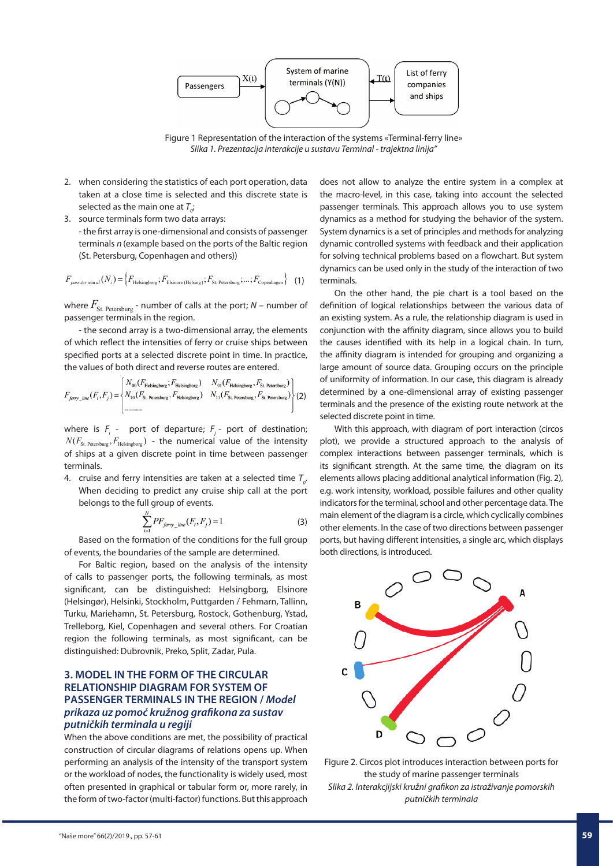

Figure 1 Representation of the interaction of the systems «Terminal-ferry line» *Slika 1. Prezentacija interakcije u sustavu Terminal - trajektna linija"*

- 2. when considering the statistics of each port operation, data taken at a close time is selected and this discrete state is selected as the main one at  $T_{o'}$
- 3. source terminals form two data arrays: - the first array is one-dimensional and consists of passenger terminals *n* (example based on the ports of the Baltic region (St. Petersburg, Copenhagen and others))

$$
F_{\text{pass.termin al}}(N_i) = \left\{ F_{\text{Helsingborg}}; F_{\text{Elsinore (Helsing)}}; F_{\text{St. Petersburg}}; \dots; F_{\text{Copenhagen}} \right\} \tag{1}
$$

where  $F_{\text{St. Petersburg}}$  - number of calls at the port;  $N$  – number of passenger terminals in the region.

- the second array is a two-dimensional array, the elements of which reflect the intensities of ferry or cruise ships between specified ports at a selected discrete point in time. In practice, the values of both direct and reverse routes are entered.

$$
F_{\text{ferry\_line}}(F_i, F_j) = \begin{Bmatrix} N_{00}(F_{\text{Helsingborg}}; F_{\text{Helsingborg}}) & N_{01}(F_{\text{Helsingborg}}, F_{\text{St. Petersburg}}) \\ N_{10}(F_{\text{St. Petersburg}}, F_{\text{Helsingborg}}) & N_{11}(F_{\text{St. Petersburg}}, F_{\text{St. Petersburg}}) \\ \dots & \dots & \dots \end{Bmatrix} (2)
$$

where is  $F_i$  - port of departure;  $F_j$  - port of destination;  $N(F_{\rm St. Petersburg}, F_{\rm Helsingbore})$  - the numerical value of the intensity of ships at a given discrete point in time between passenger terminals.

4. cruise and ferry intensities are taken at a selected time  $T_{\rho}$ . When deciding to predict any cruise ship call at the port belongs to the full group of events.

$$
\sum_{i=1}^{N} PF_{ferry\_line}(F_i, F_j) = 1
$$
\n(3)

Based on the formation of the conditions for the full group of events, the boundaries of the sample are determined.

For Baltic region, based on the analysis of the intensity of calls to passenger ports, the following terminals, as most significant, can be distinguished: Helsingborg, Elsinore (Helsingør), Helsinki, Stockholm, Puttgarden / Fehmarn, Tallinn, Turku, Mariehamn, St. Petersburg, Rostock, Gothenburg, Ystad, Trelleborg, Kiel, Copenhagen and several others. For Croatian region the following terminals, as most significant, can be distinguished: Dubrovnik, Preko, Split, Zadar, Pula.

## **3. MODEL IN THE FORM OF THE CIRCULAR RELATIONSHIP DIAGRAM FOR SYSTEM OF PASSENGER TERMINALS IN THE REGION /** *Model prikaza uz pomoć kružnog grafikona za sustav putničkih terminala u regiji*

When the above conditions are met, the possibility of practical construction of circular diagrams of relations opens up. When performing an analysis of the intensity of the transport system or the workload of nodes, the functionality is widely used, most often presented in graphical or tabular form or, more rarely, in the form of two-factor (multi-factor) functions. But this approach

does not allow to analyze the entire system in a complex at the macro-level, in this case, taking into account the selected passenger terminals. This approach allows you to use system dynamics as a method for studying the behavior of the system. System dynamics is a set of principles and methods for analyzing dynamic controlled systems with feedback and their application for solving technical problems based on a flowchart. But system dynamics can be used only in the study of the interaction of two terminals.

On the other hand, the pie chart is a tool based on the definition of logical relationships between the various data of an existing system. As a rule, the relationship diagram is used in conjunction with the affinity diagram, since allows you to build the causes identified with its help in a logical chain. In turn, the affinity diagram is intended for grouping and organizing a large amount of source data. Grouping occurs on the principle of uniformity of information. In our case, this diagram is already determined by a one-dimensional array of existing passenger terminals and the presence of the existing route network at the selected discrete point in time.

With this approach, with diagram of port interaction (circos plot), we provide a structured approach to the analysis of complex interactions between passenger terminals, which is its significant strength. At the same time, the diagram on its elements allows placing additional analytical information (Fig. 2), e.g. work intensity, workload, possible failures and other quality indicators for the terminal, school and other percentage data. The main element of the diagram is a circle, which cyclically combines other elements. In the case of two directions between passenger ports, but having different intensities, a single arc, which displays both directions, is introduced.



Figure 2. Circos plot introduces interaction between ports for the study of marine passenger terminals *Slika 2. Interakcjijski kružni grafikon za istraživanje pomorskih putničkih terminala*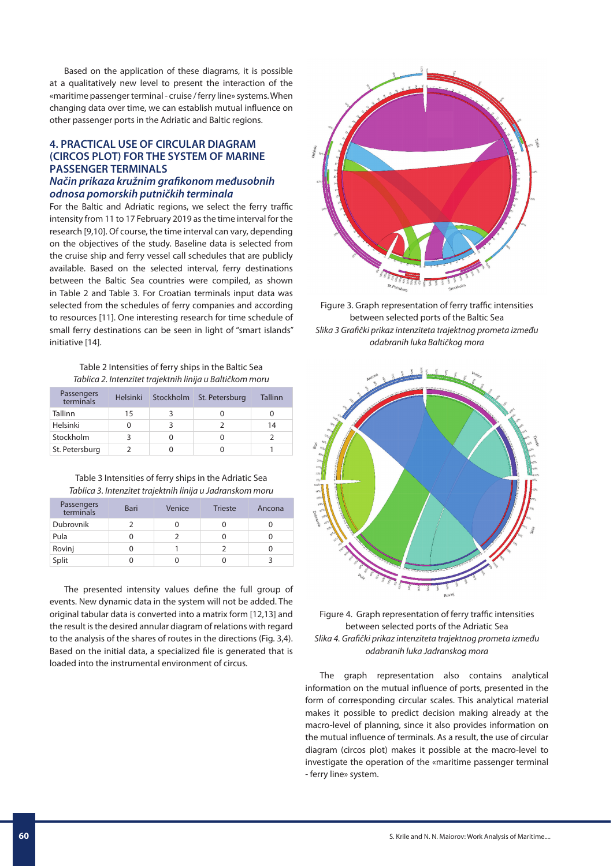Based on the application of these diagrams, it is possible at a qualitatively new level to present the interaction of the «maritime passenger terminal - cruise / ferry line» systems. When changing data over time, we can establish mutual influence on other passenger ports in the Adriatic and Baltic regions.

## **4. PRACTICAL USE OF CIRCULAR DIAGRAM (CIRCOS PLOT) FOR THE SYSTEM OF MARINE PASSENGER TERMINALS**

## *Način prikaza kružnim grafikonom međusobnih odnosa pomorskih putničkih terminala*

For the Baltic and Adriatic regions, we select the ferry traffic intensity from 11 to 17 February 2019 as the time interval for the research [9,10]. Of course, the time interval can vary, depending on the objectives of the study. Baseline data is selected from the cruise ship and ferry vessel call schedules that are publicly available. Based on the selected interval, ferry destinations between the Baltic Sea countries were compiled, as shown in Table 2 and Table 3. For Croatian terminals input data was selected from the schedules of ferry companies and according to resources [11]. One interesting research for time schedule of small ferry destinations can be seen in light of "smart islands" initiative [14].

Table 2 Intensities of ferry ships in the Baltic Sea *Tablica 2. Intenzitet trajektnih linija u Baltičkom moru*

| Passengers<br>terminals | <b>Helsinki</b> | Stockholm St. Petersburg | Tallinn |
|-------------------------|-----------------|--------------------------|---------|
| Tallinn                 | 15              |                          |         |
| Helsinki                |                 |                          | 14      |
| Stockholm               |                 |                          |         |
| St. Petersburg          |                 |                          |         |

Table 3 Intensities of ferry ships in the Adriatic Sea *Tablica 3. Intenzitet trajektnih linija u Jadranskom moru*

| Passengers<br>terminals | <b>Bari</b> | Venice | <b>Trieste</b> | Ancona |
|-------------------------|-------------|--------|----------------|--------|
| Dubrovnik               |             |        |                |        |
| Pula                    |             |        |                |        |
| Rovinj                  |             |        |                |        |
| Split                   |             |        |                |        |

The presented intensity values define the full group of events. New dynamic data in the system will not be added. The original tabular data is converted into a matrix form [12,13] and the result is the desired annular diagram of relations with regard to the analysis of the shares of routes in the directions (Fig. 3,4). Based on the initial data, a specialized file is generated that is loaded into the instrumental environment of circus.



Figure 3. Graph representation of ferry traffic intensities between selected ports of the Baltic Sea *Slika 3 Grafički prikaz intenziteta trajektnog prometa između odabranih luka Baltičkog mora*



### Figure 4. Graph representation of ferry traffic intensities between selected ports of the Adriatic Sea *Slika 4. Grafički prikaz intenziteta trajektnog prometa između odabranih luka Jadranskog mora*

The graph representation also contains analytical information on the mutual influence of ports, presented in the form of corresponding circular scales. This analytical material makes it possible to predict decision making already at the macro-level of planning, since it also provides information on the mutual influence of terminals. As a result, the use of circular diagram (circos plot) makes it possible at the macro-level to investigate the operation of the «maritime passenger terminal - ferry line» system.